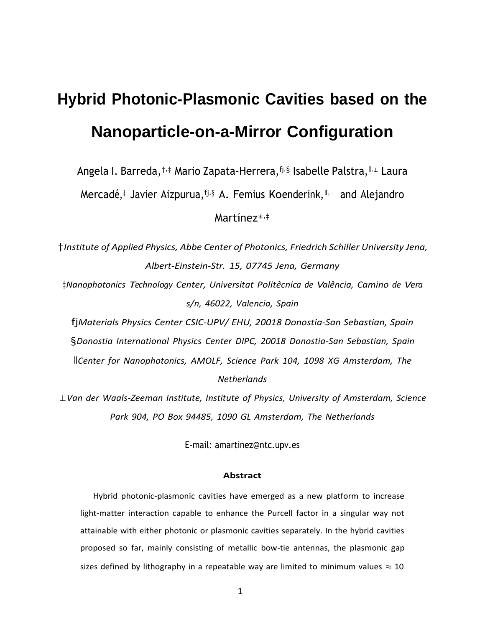# **Hybrid Photonic-Plasmonic Cavities based on the Nanoparticle-on-a-Mirror Configuration**

Angela I. Barreda,†,‡ Mario Zapata-Herrera,fj,§ Isabelle Palstra,ǁ,<sup>⊥</sup> Laura

Mercadé,‡ Javier Aizpurua, fj,§ A. Femius Koenderink, II,⊥ and Alejandro

Martínez∗,‡

†*Institute of Applied Physics, Abbe Center of Photonics, Friedrich Schiller University Jena, Albert-Einstein-Str. 15, 07745 Jena, Germany*

‡*Nanophotonics Technology Center, Universitat Polit`ecnica de Val`encia, Camino de Vera s/n, 46022, Valencia, Spain*

fj*Materials Physics Center CSIC-UPV/ EHU, 20018 Donostia-San Sebastian, Spain* §*Donostia International Physics Center DIPC, 20018 Donostia-San Sebastian, Spain* ǁ*Center for Nanophotonics, AMOLF, Science Park 104, 1098 XG Amsterdam, The Netherlands*

⊥*Van der Waals-Zeeman Institute, Institute of Physics, University of Amsterdam, Science Park 904, PO Box 94485, 1090 GL Amsterdam, The Netherlands*

E-mail: [ama](mailto:amartinez@ntc.upv.es)[rtinez@ntc.upv.es](mailto:rtinez@ntc.upv.es)

#### **Abstract**

Hybrid photonic-plasmonic cavities have emerged as a new platform to increase light-matter interaction capable to enhance the Purcell factor in a singular way not attainable with either photonic or plasmonic cavities separately. In the hybrid cavities proposed so far, mainly consisting of metallic bow-tie antennas, the plasmonic gap sizes defined by lithography in a repeatable way are limited to minimum values  $\approx 10$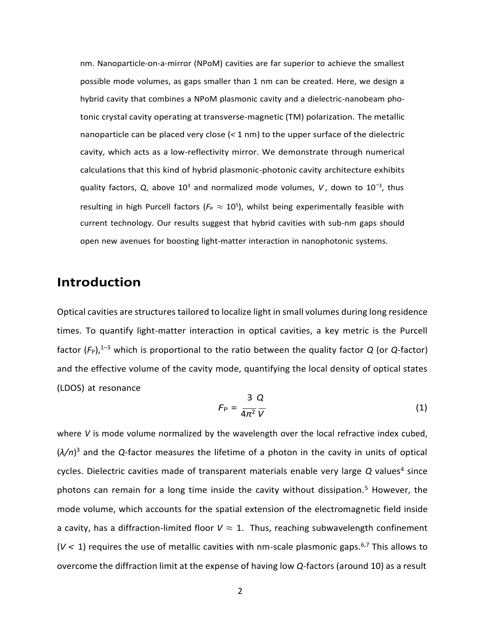nm. Nanoparticle-on-a-mirror (NPoM) cavities are far superior to achieve the smallest possible mode volumes, as gaps smaller than 1 nm can be created. Here, we design a hybrid cavity that combines a NPoM plasmonic cavity and a dielectric-nanobeam photonic crystal cavity operating at transverse-magnetic (TM) polarization. The metallic nanoparticle can be placed very close (*<* 1 nm) to the upper surface of the dielectric cavity, which acts as a low-reflectivity mirror. We demonstrate through numerical calculations that this kind of hybrid plasmonic-photonic cavity architecture exhibits quality factors, *Q*, above 10<sup>3</sup> and normalized mode volumes, *V*, down to 10<sup>−3</sup>, thus resulting in high Purcell factors ( $F_P \approx 10^5$ ), whilst being experimentally feasible with current technology. Our results suggest that hybrid cavities with sub-nm gaps should open new avenues for boosting light-matter interaction in nanophotonic systems.

## **Introduction**

Optical cavities are structures tailored to localize light in small volumes during long residence times. To quantify light-matter interaction in optical cavities, a key metric is the Purcell factor  $(F_P)$ ,<sup>1–3</sup> which is proportional to the ratio between the quality factor *Q* (or *Q*-factor) and the effective volume of the cavity mode, quantifying the local density of optical states (LDOS) at resonance  $\overline{a}$   $\overline{a}$ 

$$
F_{\rm P} = \frac{3}{4\pi^2} \frac{Q}{V} \tag{1}
$$

where *V* is mode volume normalized by the wavelength over the local refractive index cubed, (*λ/n*) <sup>3</sup> and the *Q*-factor measures the lifetime of a photon in the cavity in units of optical cycles. Dielectric cavities made of transparent materials enable very large Q values<sup>4</sup> since photons can remain for a long time inside the cavity without dissipation.<sup>5</sup> However, the mode volume, which accounts for the spatial extension of the electromagnetic field inside a cavity, has a diffraction-limited floor  $V \approx 1$ . Thus, reaching subwavelength confinement  $(V < 1)$  requires the use of metallic cavities with nm-scale plasmonic gaps.<sup>6,7</sup> This allows to overcome the diffraction limit at the expense of having low *Q*-factors (around 10) as a result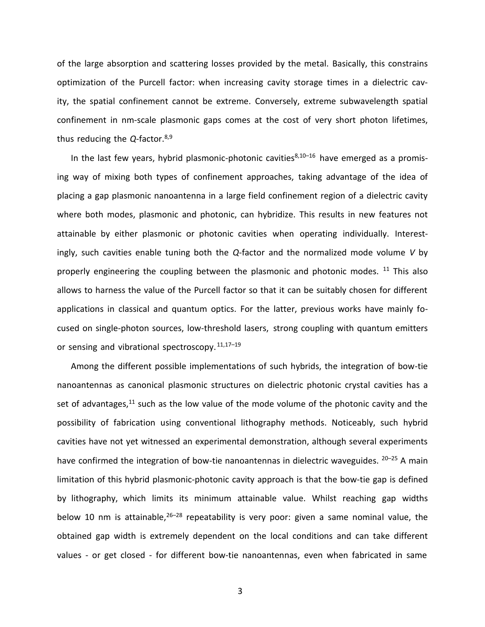of the large absorption and scattering losses provided by the metal. Basically, this constrains optimization of the Purcell factor: when increasing cavity storage times in a dielectric cavity, the spatial confinement cannot be extreme. Conversely, extreme subwavelength spatial confinement in nm-scale plasmonic gaps comes at the cost of very short photon lifetimes, thus reducing the *Q*-factor.8,9

In the last few years, hybrid plasmonic-photonic cavities $8,10-16$  have emerged as a promising way of mixing both types of confinement approaches, taking advantage of the idea of placing a gap plasmonic nanoantenna in a large field confinement region of a dielectric cavity where both modes, plasmonic and photonic, can hybridize. This results in new features not attainable by either plasmonic or photonic cavities when operating individually. Interestingly, such cavities enable tuning both the *Q*-factor and the normalized mode volume *V* by properly engineering the coupling between the plasmonic and photonic modes. <sup>11</sup> This also allows to harness the value of the Purcell factor so that it can be suitably chosen for different applications in classical and quantum optics. For the latter, previous works have mainly focused on single-photon sources, low-threshold lasers, strong coupling with quantum emitters or sensing and vibrational spectroscopy.  $11,17-19$ 

Among the different possible implementations of such hybrids, the integration of bow-tie nanoantennas as canonical plasmonic structures on dielectric photonic crystal cavities has a set of advantages, $11$  such as the low value of the mode volume of the photonic cavity and the possibility of fabrication using conventional lithography methods. Noticeably, such hybrid cavities have not yet witnessed an experimental demonstration, although several experiments have confirmed the integration of bow-tie nanoantennas in dielectric waveguides.  $20-25$  A main limitation of this hybrid plasmonic-photonic cavity approach is that the bow-tie gap is defined by lithography, which limits its minimum attainable value. Whilst reaching gap widths below 10 nm is attainable,  $26-28$  repeatability is very poor: given a same nominal value, the obtained gap width is extremely dependent on the local conditions and can take different values - or get closed - for different bow-tie nanoantennas, even when fabricated in same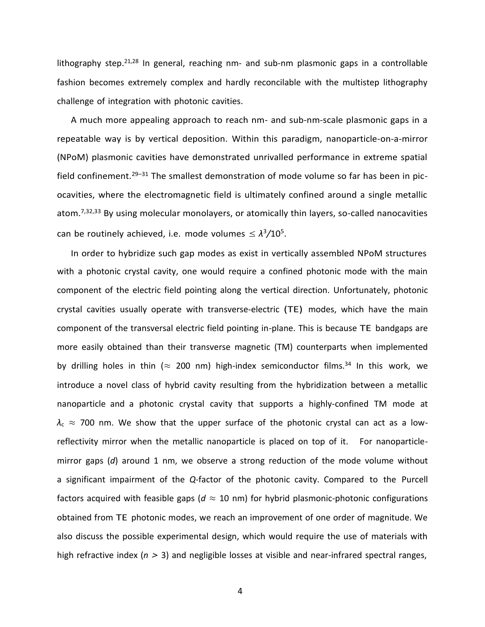lithography step.<sup>21,28</sup> In general, reaching nm- and sub-nm plasmonic gaps in a controllable fashion becomes extremely complex and hardly reconcilable with the multistep lithography challenge of integration with photonic cavities.

A much more appealing approach to reach nm- and sub-nm-scale plasmonic gaps in a repeatable way is by vertical deposition. Within this paradigm, nanoparticle-on-a-mirror (NPoM) plasmonic cavities have demonstrated unrivalled performance in extreme spatial field confinement.<sup>29–31</sup> The smallest demonstration of mode volume so far has been in picocavities, where the electromagnetic field is ultimately confined around a single metallic atom.<sup>7,32,33</sup> By using molecular monolayers, or atomically thin layers, so-called nanocavities can be routinely achieved, i.e. mode volumes  $\leq \lambda^3/10^5$ .

In order to hybridize such gap modes as exist in vertically assembled NPoM structures with a photonic crystal cavity, one would require a confined photonic mode with the main component of the electric field pointing along the vertical direction. Unfortunately, photonic crystal cavities usually operate with transverse-electric (TE) modes, which have the main component of the transversal electric field pointing in-plane. This is because TE bandgaps are more easily obtained than their transverse magnetic (TM) counterparts when implemented by drilling holes in thin ( $\approx$  200 nm) high-index semiconductor films.<sup>34</sup> In this work, we introduce a novel class of hybrid cavity resulting from the hybridization between a metallic nanoparticle and a photonic crystal cavity that supports a highly-confined TM mode at  $\lambda_c \approx 700$  nm. We show that the upper surface of the photonic crystal can act as a lowreflectivity mirror when the metallic nanoparticle is placed on top of it. For nanoparticlemirror gaps (*d*) around 1 nm, we observe a strong reduction of the mode volume without a significant impairment of the *Q*-factor of the photonic cavity. Compared to the Purcell factors acquired with feasible gaps ( $d \approx 10$  nm) for hybrid plasmonic-photonic configurations obtained from TE photonic modes, we reach an improvement of one order of magnitude. We also discuss the possible experimental design, which would require the use of materials with high refractive index (*n >* 3) and negligible losses at visible and near-infrared spectral ranges,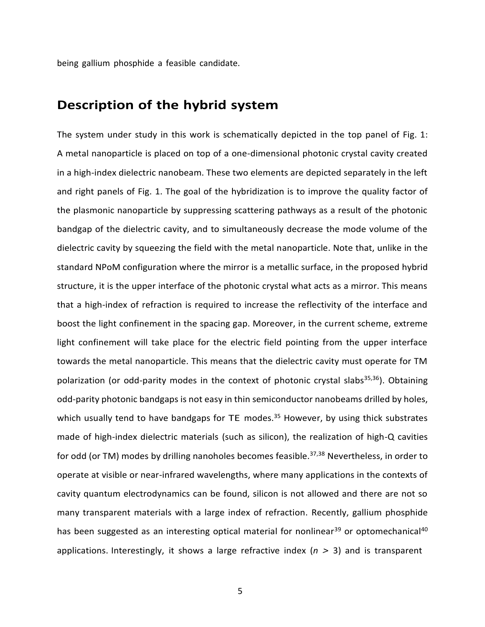being gallium phosphide a feasible candidate.

#### **Description of the hybrid system**

The system under study in this work is schematically depicted in the top panel of Fig. 1: A metal nanoparticle is placed on top of a one-dimensional photonic crystal cavity created in a high-index dielectric nanobeam. These two elements are depicted separately in the left and right panels of Fig. 1. The goal of the hybridization is to improve the quality factor of the plasmonic nanoparticle by suppressing scattering pathways as a result of the photonic bandgap of the dielectric cavity, and to simultaneously decrease the mode volume of the dielectric cavity by squeezing the field with the metal nanoparticle. Note that, unlike in the standard NPoM configuration where the mirror is a metallic surface, in the proposed hybrid structure, it is the upper interface of the photonic crystal what acts as a mirror. This means that a high-index of refraction is required to increase the reflectivity of the interface and boost the light confinement in the spacing gap. Moreover, in the current scheme, extreme light confinement will take place for the electric field pointing from the upper interface towards the metal nanoparticle. This means that the dielectric cavity must operate for TM polarization (or odd-parity modes in the context of photonic crystal slabs<sup>35,36</sup>). Obtaining odd-parity photonic bandgaps is not easy in thin semiconductor nanobeams drilled by holes, which usually tend to have bandgaps for TE modes.<sup>35</sup> However, by using thick substrates made of high-index dielectric materials (such as silicon), the realization of high-Q cavities for odd (or TM) modes by drilling nanoholes becomes feasible.<sup>37,38</sup> Nevertheless, in order to operate at visible or near-infrared wavelengths, where many applications in the contexts of cavity quantum electrodynamics can be found, silicon is not allowed and there are not so many transparent materials with a large index of refraction. Recently, gallium phosphide has been suggested as an interesting optical material for nonlinear<sup>39</sup> or optomechanical<sup>40</sup> applications. Interestingly, it shows a large refractive index (*n >* 3) and is transparent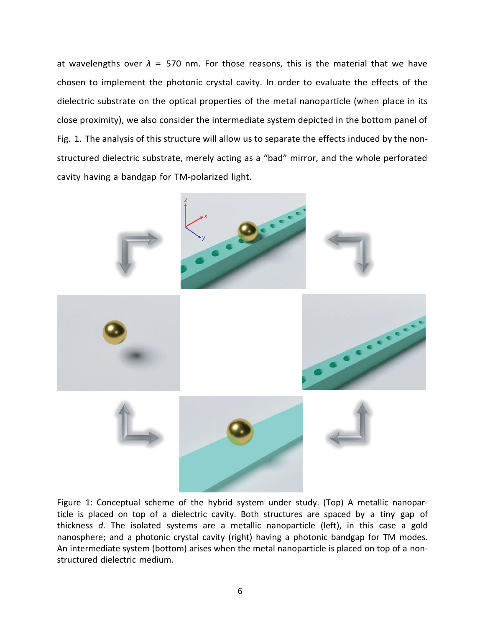at wavelengths over  $\lambda$  = 570 nm. For those reasons, this is the material that we have chosen to implement the photonic crystal cavity. In order to evaluate the effects of the dielectric substrate on the optical properties of the metal nanoparticle (when place in its close proximity), we also consider the intermediate system depicted in the bottom panel of Fig. 1. The analysis of this structure will allow us to separate the effects induced by the nonstructured dielectric substrate, merely acting as a "bad" mirror, and the whole perforated cavity having a bandgap for TM-polarized light.



Figure 1: Conceptual scheme of the hybrid system under study. (Top) A metallic nanoparticle is placed on top of a dielectric cavity. Both structures are spaced by a tiny gap of thickness *d*. The isolated systems are a metallic nanoparticle (left), in this case a gold nanosphere; and a photonic crystal cavity (right) having a photonic bandgap for TM modes. An intermediate system (bottom) arises when the metal nanoparticle is placed on top of a nonstructured dielectric medium.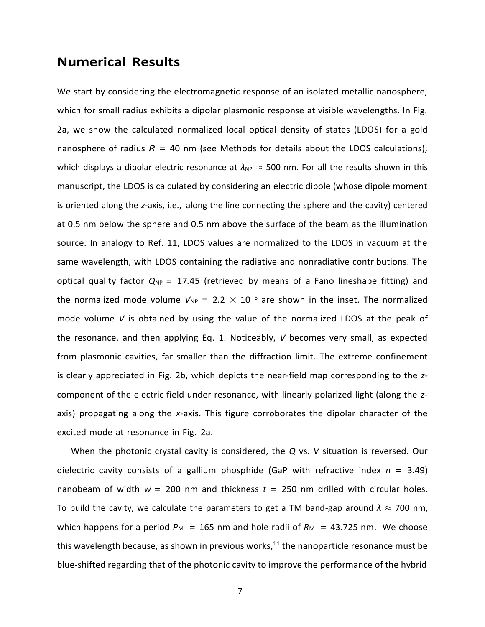### **Numerical Results**

We start by considering the electromagnetic response of an isolated metallic nanosphere, which for small radius exhibits a dipolar plasmonic response at visible wavelengths. In Fig. 2a, we show the calculated normalized local optical density of states (LDOS) for a gold nanosphere of radius  $R = 40$  nm (see Methods for details about the LDOS calculations), which displays a dipolar electric resonance at  $\lambda_{NP} \approx 500$  nm. For all the results shown in this manuscript, the LDOS is calculated by considering an electric dipole (whose dipole moment is oriented along the *z*-axis, i.e., along the line connecting the sphere and the cavity) centered at 0.5 nm below the sphere and 0.5 nm above the surface of the beam as the illumination source. In analogy to Ref. 11, LDOS values are normalized to the LDOS in vacuum at the same wavelength, with LDOS containing the radiative and nonradiative contributions. The optical quality factor  $Q_{NP} = 17.45$  (retrieved by means of a Fano lineshape fitting) and the normalized mode volume  $V_{NP} = 2.2 \times 10^{-6}$  are shown in the inset. The normalized mode volume *V* is obtained by using the value of the normalized LDOS at the peak of the resonance, and then applying Eq. 1. Noticeably, *V* becomes very small, as expected from plasmonic cavities, far smaller than the diffraction limit. The extreme confinement is clearly appreciated in Fig. 2b, which depicts the near-field map corresponding to the *z*component of the electric field under resonance, with linearly polarized light (along the *z*axis) propagating along the *x*-axis. This figure corroborates the dipolar character of the excited mode at resonance in Fig. 2a.

When the photonic crystal cavity is considered, the *Q* vs. *V* situation is reversed. Our dielectric cavity consists of a gallium phosphide (GaP with refractive index *n* = 3*.*49) nanobeam of width  $w = 200$  nm and thickness  $t = 250$  nm drilled with circular holes. To build the cavity, we calculate the parameters to get a TM band-gap around  $\lambda \approx 700$  nm, which happens for a period  $P_M$  = 165 nm and hole radii of  $R_M$  = 43.725 nm. We choose this wavelength because, as shown in previous works, $11$  the nanoparticle resonance must be blue-shifted regarding that of the photonic cavity to improve the performance of the hybrid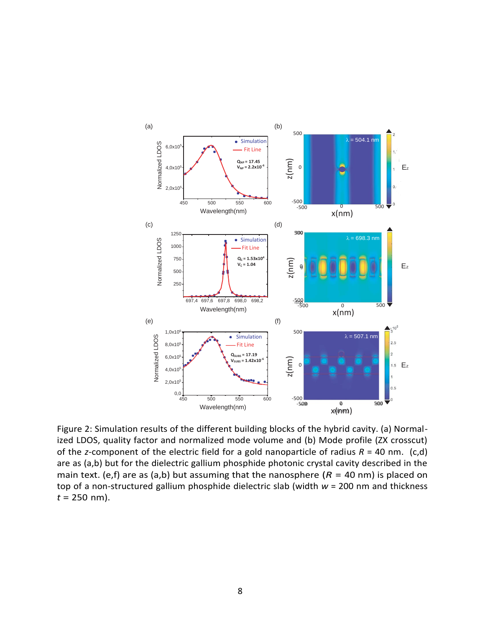

Figure 2: Simulation results of the different building blocks of the hybrid cavity. (a) Normalized LDOS, quality factor and normalized mode volume and (b) Mode profile (ZX crosscut) of the *z*-component of the electric field for a gold nanoparticle of radius *R* = 40 nm. (c,d) are as (a,b) but for the dielectric gallium phosphide photonic crystal cavity described in the main text. (e,f) are as (a,b) but assuming that the nanosphere ( $R = 40$  nm) is placed on top of a non-structured gallium phosphide dielectric slab (width *w* = 200 nm and thickness  $t = 250$  nm).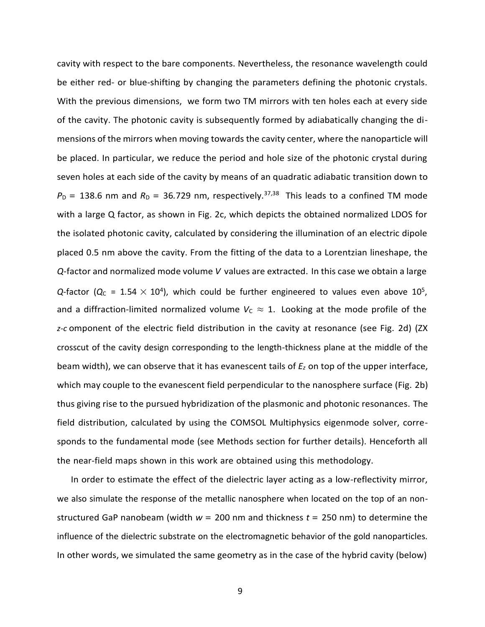cavity with respect to the bare components. Nevertheless, the resonance wavelength could be either red- or blue-shifting by changing the parameters defining the photonic crystals. With the previous dimensions, we form two TM mirrors with ten holes each at every side of the cavity. The photonic cavity is subsequently formed by adiabatically changing the dimensions of the mirrors when moving towards the cavity center, where the nanoparticle will be placed. In particular, we reduce the period and hole size of the photonic crystal during seven holes at each side of the cavity by means of an quadratic adiabatic transition down to  $P_D = 138.6$  nm and  $R_D = 36.729$  nm, respectively.<sup>37,38</sup> This leads to a confined TM mode with a large Q factor, as shown in Fig. 2c, which depicts the obtained normalized LDOS for the isolated photonic cavity, calculated by considering the illumination of an electric dipole placed 0.5 nm above the cavity. From the fitting of the data to a Lorentzian lineshape, the *Q*-factor and normalized mode volume *V* values are extracted. In this case we obtain a large  $Q$ -factor ( $Q_C$  = 1.54  $\times$  10<sup>4</sup>), which could be further engineered to values even above 10<sup>5</sup>, and a diffraction-limited normalized volume  $V_c \approx 1$ . Looking at the mode profile of the *z-c* omponent of the electric field distribution in the cavity at resonance (see Fig. 2d) (ZX crosscut of the cavity design corresponding to the length-thickness plane at the middle of the beam width), we can observe that it has evanescent tails of *E<sup>z</sup>* on top of the upper interface, which may couple to the evanescent field perpendicular to the nanosphere surface (Fig. 2b) thus giving rise to the pursued hybridization of the plasmonic and photonic resonances. The field distribution, calculated by using the COMSOL Multiphysics eigenmode solver, corresponds to the fundamental mode (see Methods section for further details). Henceforth all the near-field maps shown in this work are obtained using this methodology.

In order to estimate the effect of the dielectric layer acting as a low-reflectivity mirror, we also simulate the response of the metallic nanosphere when located on the top of an nonstructured GaP nanobeam (width *w* = 200 nm and thickness *t* = 250 nm) to determine the influence of the dielectric substrate on the electromagnetic behavior of the gold nanoparticles. In other words, we simulated the same geometry as in the case of the hybrid cavity (below)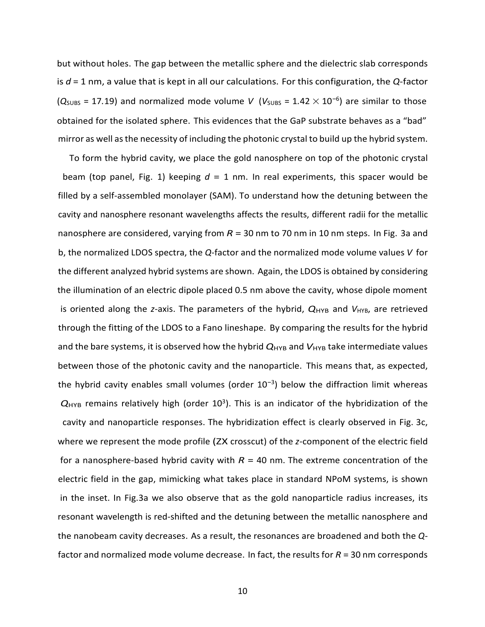but without holes. The gap between the metallic sphere and the dielectric slab corresponds is *d* = 1 nm, a value that is kept in all our calculations. For this configuration, the *Q*-factor  $(Q_{\text{SUBS}} = 17.19)$  and normalized mode volume *V* ( $V_{\text{SUBS}} = 1.42 \times 10^{-6}$ ) are similar to those obtained for the isolated sphere. This evidences that the GaP substrate behaves as a "bad" mirror as well asthe necessity of including the photonic crystal to build up the hybrid system.

To form the hybrid cavity, we place the gold nanosphere on top of the photonic crystal beam (top panel, Fig. 1) keeping  $d = 1$  nm. In real experiments, this spacer would be filled by a self-assembled monolayer (SAM). To understand how the detuning between the cavity and nanosphere resonant wavelengths affects the results, different radii for the metallic nanosphere are considered, varying from *R* = 30 nm to 70 nm in 10 nm steps. In Fig. 3a and b, the normalized LDOS spectra, the *Q*-factor and the normalized mode volume values *V* for the different analyzed hybrid systems are shown. Again, the LDOS is obtained by considering the illumination of an electric dipole placed 0.5 nm above the cavity, whose dipole moment is oriented along the *z*-axis. The parameters of the hybrid,  $Q_{HYB}$  and  $V_{HYB}$ , are retrieved through the fitting of the LDOS to a Fano lineshape. By comparing the results for the hybrid and the bare systems, it is observed how the hybrid  $Q_{HYB}$  and  $V_{HYB}$  take intermediate values between those of the photonic cavity and the nanoparticle. This means that, as expected, the hybrid cavity enables small volumes (order 10*<sup>−</sup>*<sup>3</sup> ) below the diffraction limit whereas  $Q<sub>HYB</sub>$  remains relatively high (order  $10<sup>3</sup>$ ). This is an indicator of the hybridization of the cavity and nanoparticle responses. The hybridization effect is clearly observed in Fig. 3c, where we represent the mode profile (ZX crosscut) of the *z*-component of the electric field for a nanosphere-based hybrid cavity with  $R = 40$  nm. The extreme concentration of the electric field in the gap, mimicking what takes place in standard NPoM systems, is shown in the inset. In Fig.3a we also observe that as the gold nanoparticle radius increases, its resonant wavelength is red-shifted and the detuning between the metallic nanosphere and the nanobeam cavity decreases. As a result, the resonances are broadened and both the *Q*factor and normalized mode volume decrease. In fact, the results for *R* = 30 nm corresponds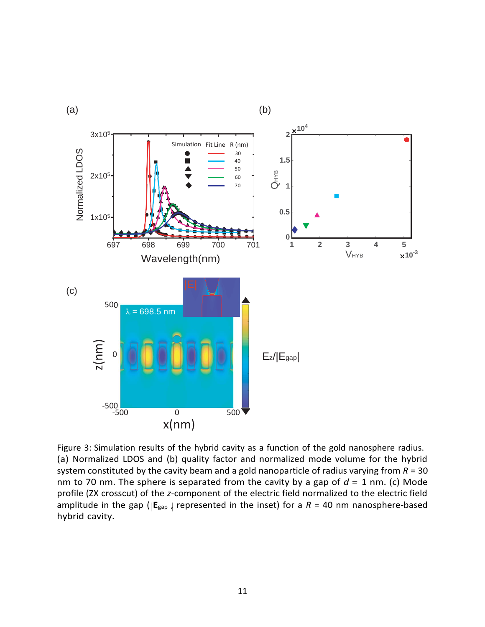

amplitude in the gap ( $|{\sf E}_{\sf{gap}}|$  represented in the inset) for a *R* = 40 nm nanosphere-based Figure 3: Simulation results of the hybrid cavity as a function of the gold nanosphere radius. (a) Normalized LDOS and (b) quality factor and normalized mode volume for the hybrid system constituted by the cavity beam and a gold nanoparticle of radius varying from *R* = 30 nm to 70 nm. The sphere is separated from the cavity by a gap of *d* = 1 nm. (c) Mode profile (ZX crosscut) of the *z*-component of the electric field normalized to the electric field hybrid cavity.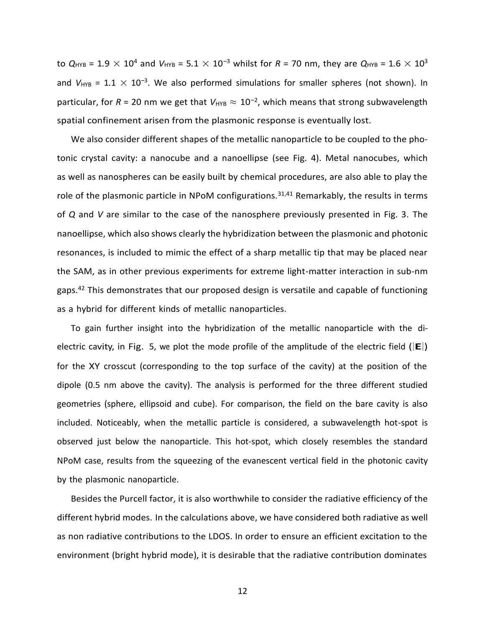to  $Q_{\text{HYB}} = 1.9 \times 10^4$  and  $V_{\text{HYB}} = 5.1 \times 10^{-3}$  whilst for  $R = 70$  nm, they are  $Q_{\text{HYB}} = 1.6 \times 10^3$ and *V*<sub>HYB</sub> = 1.1 × 10<sup>-3</sup>. We also performed simulations for smaller spheres (not shown). In particular, for *R* = 20 nm we get that  $V_{\text{HYB}} \approx 10^{-2}$ , which means that strong subwavelength spatial confinement arisen from the plasmonic response is eventually lost.

We also consider different shapes of the metallic nanoparticle to be coupled to the photonic crystal cavity: a nanocube and a nanoellipse (see Fig. 4). Metal nanocubes, which as well as nanospheres can be easily built by chemical procedures, are also able to play the role of the plasmonic particle in NPoM configurations.<sup>31,41</sup> Remarkably, the results in terms of *Q* and *V* are similar to the case of the nanosphere previously presented in Fig. 3. The nanoellipse, which also shows clearly the hybridization between the plasmonic and photonic resonances, is included to mimic the effect of a sharp metallic tip that may be placed near the SAM, as in other previous experiments for extreme light-matter interaction in sub-nm gaps.<sup>42</sup> This demonstrates that our proposed design is versatile and capable of functioning as a hybrid for different kinds of metallic nanoparticles.

To gain further insight into the hybridization of the metallic nanoparticle with the dielectric cavity, in Fig. 5, we plot the mode profile of the amplitude of the electric field (|**E**|) for the XY crosscut (corresponding to the top surface of the cavity) at the position of the dipole (0.5 nm above the cavity). The analysis is performed for the three different studied geometries (sphere, ellipsoid and cube). For comparison, the field on the bare cavity is also included. Noticeably, when the metallic particle is considered, a subwavelength hot-spot is observed just below the nanoparticle. This hot-spot, which closely resembles the standard NPoM case, results from the squeezing of the evanescent vertical field in the photonic cavity by the plasmonic nanoparticle.

Besides the Purcell factor, it is also worthwhile to consider the radiative efficiency of the different hybrid modes. In the calculations above, we have considered both radiative as well as non radiative contributions to the LDOS. In order to ensure an efficient excitation to the environment (bright hybrid mode), it is desirable that the radiative contribution dominates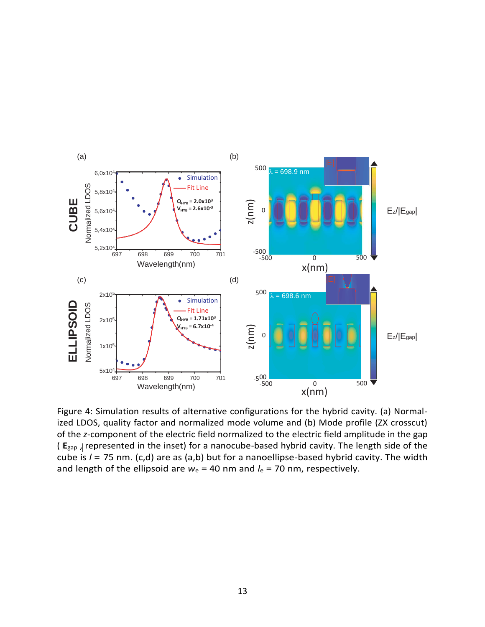

| | ( **E**gap , represented in the inset) for a nanocube-based hybrid cavity. The length side of the Figure 4: Simulation results of alternative configurations for the hybrid cavity. (a) Normalized LDOS, quality factor and normalized mode volume and (b) Mode profile (ZX crosscut) of the *z*-component of the electric field normalized to the electric field amplitude in the gap cube is *l* = 75 nm. (c,d) are as (a,b) but for a nanoellipse-based hybrid cavity. The width and length of the ellipsoid are  $w_e$  = 40 nm and  $l_e$  = 70 nm, respectively.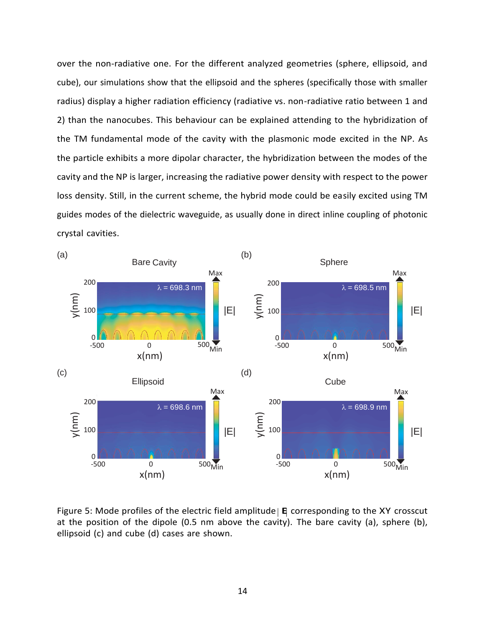over the non-radiative one. For the different analyzed geometries (sphere, ellipsoid, and cube), our simulations show that the ellipsoid and the spheres (specifically those with smaller radius) display a higher radiation efficiency (radiative vs. non-radiative ratio between 1 and 2) than the nanocubes. This behaviour can be explained attending to the hybridization of the TM fundamental mode of the cavity with the plasmonic mode excited in the NP. As the particle exhibits a more dipolar character, the hybridization between the modes of the cavity and the NP is larger, increasing the radiative power density with respect to the power loss density. Still, in the current scheme, the hybrid mode could be easily excited using TM guides modes of the dielectric waveguide, as usually done in direct inline coupling of photonic crystal cavities.



Figure 5: Mode profiles of the electric field amplitude | **E** corresponding to the XY crosscut at the position of the dipole (0.5 nm above the cavity). The bare cavity (a), sphere (b),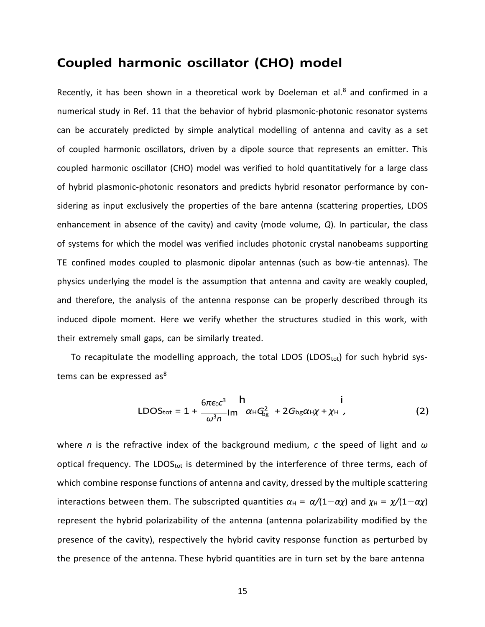## **Coupled harmonic oscillator (CHO) model**

Recently, it has been shown in a theoretical work by Doeleman et al. $8$  and confirmed in a numerical study in Ref. 11 that the behavior of hybrid plasmonic-photonic resonator systems can be accurately predicted by simple analytical modelling of antenna and cavity as a set of coupled harmonic oscillators, driven by a dipole source that represents an emitter. This coupled harmonic oscillator (CHO) model was verified to hold quantitatively for a large class of hybrid plasmonic-photonic resonators and predicts hybrid resonator performance by considering as input exclusively the properties of the bare antenna (scattering properties, LDOS enhancement in absence of the cavity) and cavity (mode volume, *Q*). In particular, the class of systems for which the model was verified includes photonic crystal nanobeams supporting TE confined modes coupled to plasmonic dipolar antennas (such as bow-tie antennas). The physics underlying the model is the assumption that antenna and cavity are weakly coupled, and therefore, the analysis of the antenna response can be properly described through its induced dipole moment. Here we verify whether the structures studied in this work, with their extremely small gaps, can be similarly treated.

To recapitulate the modelling approach, the total LDOS (LDOS<sub>tot</sub>) for such hybrid systems can be expressed as<sup>8</sup>

$$
LDOStot = 1 + \frac{6\pi\epsilon_0 c^3}{\omega^3 n} Im \alpha_H G_{bg}^2 + 2G_{bg}\alpha_H \chi + \chi_H
$$
 (2)

where *n* is the refractive index of the background medium, *c* the speed of light and *ω* optical frequency. The LDOS $_{tot}$  is determined by the interference of three terms, each of which combine response functions of antenna and cavity, dressed by the multiple scattering interactions between them. The subscripted quantities  $\alpha_H = \alpha/(1-\alpha \chi)$  and  $\chi_H = \chi/(1-\alpha \chi)$ represent the hybrid polarizability of the antenna (antenna polarizability modified by the presence of the cavity), respectively the hybrid cavity response function as perturbed by the presence of the antenna. These hybrid quantities are in turn set by the bare antenna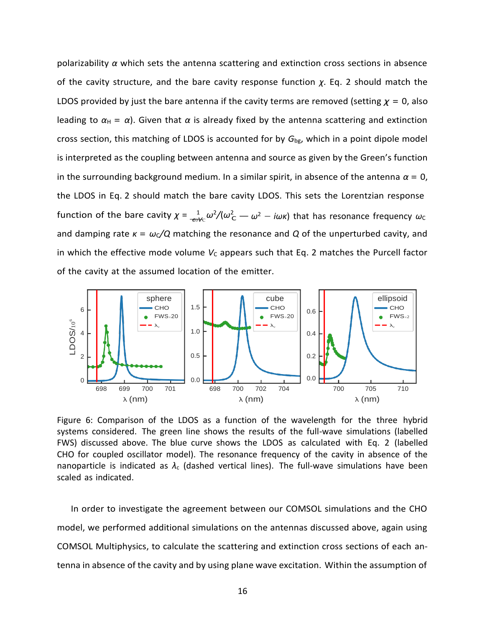*f*unction of the bare cavity  $\chi$  =  $\frac{1}{\epsilon v \nu c} \omega^2/(\omega^2_{\rm C} - \omega^2 - i \omega \kappa)$  that has resonance frequency  $\omega_{\rm C}$ polarizability *α* which sets the antenna scattering and extinction cross sections in absence of the cavity structure, and the bare cavity response function *χ*. Eq. 2 should match the LDOS provided by just the bare antenna if the cavity terms are removed (setting *χ* = 0, also leading to  $\alpha_H = \alpha$ ). Given that  $\alpha$  is already fixed by the antenna scattering and extinction cross section, this matching of LDOS is accounted for by *G*bg, which in a point dipole model is interpreted as the coupling between antenna and source as given by the Green's function in the surrounding background medium. In a similar spirit, in absence of the antenna  $\alpha = 0$ , the LDOS in Eq. 2 should match the bare cavity LDOS. This sets the Lorentzian response and damping rate  $\kappa = \omega_c/Q$  matching the resonance and Q of the unperturbed cavity, and in which the effective mode volume  $V_c$  appears such that Eq. 2 matches the Purcell factor of the cavity at the assumed location of the emitter.



Figure 6: Comparison of the LDOS as a function of the wavelength for the three hybrid systems considered. The green line shows the results of the full-wave simulations (labelled FWS) discussed above. The blue curve shows the LDOS as calculated with Eq. 2 (labelled CHO for coupled oscillator model). The resonance frequency of the cavity in absence of the nanoparticle is indicated as *λ*<sup>c</sup> (dashed vertical lines). The full-wave simulations have been scaled as indicated.

In order to investigate the agreement between our COMSOL simulations and the CHO model, we performed additional simulations on the antennas discussed above, again using COMSOL Multiphysics, to calculate the scattering and extinction cross sections of each antenna in absence of the cavity and by using plane wave excitation. Within the assumption of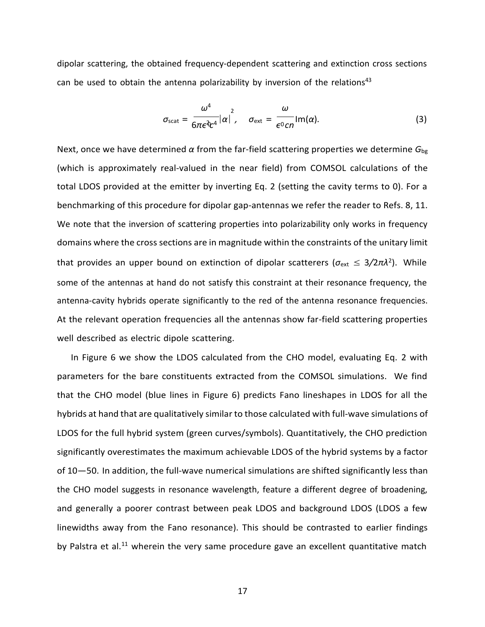dipolar scattering, the obtained frequency-dependent scattering and extinction cross sections can be used to obtain the antenna polarizability by inversion of the relations<sup>43</sup>

$$
\sigma_{\text{scat}} = \frac{\omega^4}{6\pi\epsilon^2 c^4} |\alpha|^2, \quad \sigma_{\text{ext}} = \frac{\omega}{\epsilon^0 c n} \text{Im}(\alpha). \tag{3}
$$

Next, once we have determined *α* from the far-field scattering properties we determine *G*bg (which is approximately real-valued in the near field) from COMSOL calculations of the total LDOS provided at the emitter by inverting Eq. 2 (setting the cavity terms to 0). For a benchmarking of this procedure for dipolar gap-antennas we refer the reader to Refs. 8, 11. We note that the inversion of scattering properties into polarizability only works in frequency domains where the cross sections are in magnitude within the constraints of the unitary limit that provides an upper bound on extinction of dipolar scatterers (σ<sub>ext</sub> ≤ 3/2πλ<sup>2</sup>). While some of the antennas at hand do not satisfy this constraint at their resonance frequency, the antenna-cavity hybrids operate significantly to the red of the antenna resonance frequencies. At the relevant operation frequencies all the antennas show far-field scattering properties well described as electric dipole scattering.

In Figure 6 we show the LDOS calculated from the CHO model, evaluating Eq. 2 with parameters for the bare constituents extracted from the COMSOL simulations. We find that the CHO model (blue lines in Figure 6) predicts Fano lineshapes in LDOS for all the hybrids at hand that are qualitatively similar to those calculated with full-wave simulations of LDOS for the full hybrid system (green curves/symbols). Quantitatively, the CHO prediction significantly overestimates the maximum achievable LDOS of the hybrid systems by a factor of 10—50. In addition, the full-wave numerical simulations are shifted significantly less than the CHO model suggests in resonance wavelength, feature a different degree of broadening, and generally a poorer contrast between peak LDOS and background LDOS (LDOS a few linewidths away from the Fano resonance). This should be contrasted to earlier findings by Palstra et al.<sup>11</sup> wherein the very same procedure gave an excellent quantitative match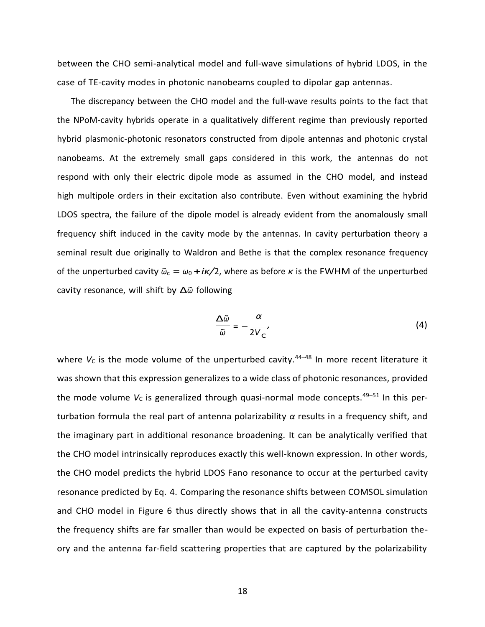between the CHO semi-analytical model and full-wave simulations of hybrid LDOS, in the case of TE-cavity modes in photonic nanobeams coupled to dipolar gap antennas.

The discrepancy between the CHO model and the full-wave results points to the fact that the NPoM-cavity hybrids operate in a qualitatively different regime than previously reported hybrid plasmonic-photonic resonators constructed from dipole antennas and photonic crystal nanobeams. At the extremely small gaps considered in this work, the antennas do not respond with only their electric dipole mode as assumed in the CHO model, and instead high multipole orders in their excitation also contribute. Even without examining the hybrid LDOS spectra, the failure of the dipole model is already evident from the anomalously small frequency shift induced in the cavity mode by the antennas. In cavity perturbation theory a seminal result due originally to Waldron and Bethe is that the complex resonance frequency of the unperturbed cavity  $\tilde{\omega}_c = \omega_0 + i\kappa/2$ , where as before  $\kappa$  is the FWHM of the unperturbed cavity resonance, will shift by ∆*ω*˜ following

$$
\frac{\Delta \tilde{\omega}}{\tilde{\omega}} = -\frac{\alpha}{2V_{C}},\tag{4}
$$

where  $V_c$  is the mode volume of the unperturbed cavity.<sup>44-48</sup> In more recent literature it was shown that this expression generalizes to a wide class of photonic resonances, provided the mode volume  $V_c$  is generalized through quasi-normal mode concepts.<sup>49-51</sup> In this perturbation formula the real part of antenna polarizability *α* results in a frequency shift, and the imaginary part in additional resonance broadening. It can be analytically verified that the CHO model intrinsically reproduces exactly this well-known expression. In other words, the CHO model predicts the hybrid LDOS Fano resonance to occur at the perturbed cavity resonance predicted by Eq. 4. Comparing the resonance shifts between COMSOL simulation and CHO model in Figure 6 thus directly shows that in all the cavity-antenna constructs the frequency shifts are far smaller than would be expected on basis of perturbation theory and the antenna far-field scattering properties that are captured by the polarizability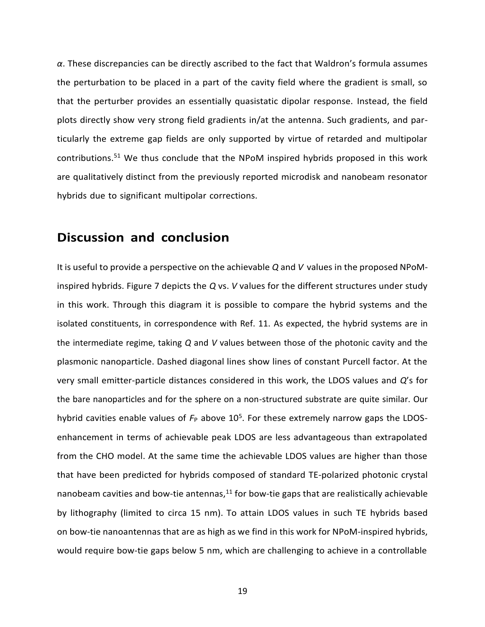*α*. These discrepancies can be directly ascribed to the fact that Waldron's formula assumes the perturbation to be placed in a part of the cavity field where the gradient is small, so that the perturber provides an essentially quasistatic dipolar response. Instead, the field plots directly show very strong field gradients in/at the antenna. Such gradients, and particularly the extreme gap fields are only supported by virtue of retarded and multipolar contributions.<sup>51</sup> We thus conclude that the NPoM inspired hybrids proposed in this work are qualitatively distinct from the previously reported microdisk and nanobeam resonator hybrids due to significant multipolar corrections.

## **Discussion and conclusion**

It is useful to provide a perspective on the achievable *Q* and *V* values in the proposed NPoMinspired hybrids. Figure 7 depicts the *Q* vs. *V* values for the different structures under study in this work. Through this diagram it is possible to compare the hybrid systems and the isolated constituents, in correspondence with Ref. 11. As expected, the hybrid systems are in the intermediate regime, taking *Q* and *V* values between those of the photonic cavity and the plasmonic nanoparticle. Dashed diagonal lines show lines of constant Purcell factor. At the very small emitter-particle distances considered in this work, the LDOS values and *Q*'s for the bare nanoparticles and for the sphere on a non-structured substrate are quite similar. Our hybrid cavities enable values of  $F_P$  above 10<sup>5</sup>. For these extremely narrow gaps the LDOSenhancement in terms of achievable peak LDOS are less advantageous than extrapolated from the CHO model. At the same time the achievable LDOS values are higher than those that have been predicted for hybrids composed of standard TE-polarized photonic crystal nanobeam cavities and bow-tie antennas, $^{11}$  for bow-tie gaps that are realistically achievable by lithography (limited to circa 15 nm). To attain LDOS values in such TE hybrids based on bow-tie nanoantennas that are as high as we find in this work for NPoM-inspired hybrids, would require bow-tie gaps below 5 nm, which are challenging to achieve in a controllable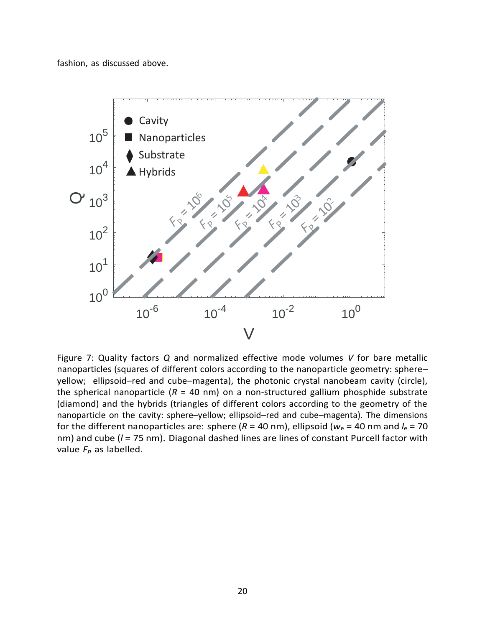fashion, as discussed above.



Figure 7: Quality factors *Q* and normalized effective mode volumes *V* for bare metallic nanoparticles (squares of different colors according to the nanoparticle geometry: sphere– yellow; ellipsoid–red and cube–magenta), the photonic crystal nanobeam cavity (circle), the spherical nanoparticle  $(R = 40 \text{ nm})$  on a non-structured gallium phosphide substrate (diamond) and the hybrids (triangles of different colors according to the geometry of the nanoparticle on the cavity: sphere–yellow; ellipsoid–red and cube–magenta). The dimensions for the different nanoparticles are: sphere ( $R = 40$  nm), ellipsoid ( $w_e = 40$  nm and  $l_e = 70$ nm) and cube (*l* = 75 nm). Diagonal dashed lines are lines of constant Purcell factor with value  $F_p$  as labelled.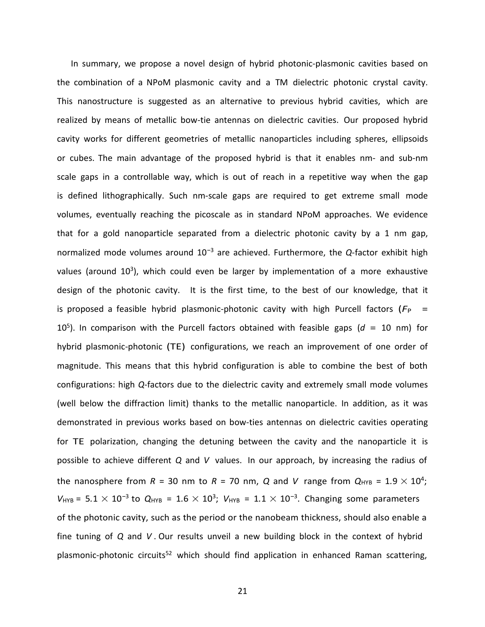In summary, we propose a novel design of hybrid photonic-plasmonic cavities based on the combination of a NPoM plasmonic cavity and a TM dielectric photonic crystal cavity. This nanostructure is suggested as an alternative to previous hybrid cavities, which are realized by means of metallic bow-tie antennas on dielectric cavities. Our proposed hybrid cavity works for different geometries of metallic nanoparticles including spheres, ellipsoids or cubes. The main advantage of the proposed hybrid is that it enables nm- and sub-nm scale gaps in a controllable way, which is out of reach in a repetitive way when the gap is defined lithographically. Such nm-scale gaps are required to get extreme small mode volumes, eventually reaching the picoscale as in standard NPoM approaches. We evidence that for a gold nanoparticle separated from a dielectric photonic cavity by a 1 nm gap, normalized mode volumes around 10*<sup>−</sup>*<sup>3</sup> are achieved. Furthermore, the *Q*-factor exhibit high values (around 10<sup>3</sup>), which could even be larger by implementation of a more exhaustive design of the photonic cavity. It is the first time, to the best of our knowledge, that it is proposed a feasible hybrid plasmonic-photonic cavity with high Purcell factors ( $F_P$  = 10<sup>5</sup> ). In comparison with the Purcell factors obtained with feasible gaps (*d* = 10 nm) for hybrid plasmonic-photonic (TE) configurations, we reach an improvement of one order of magnitude. This means that this hybrid configuration is able to combine the best of both configurations: high *Q*-factors due to the dielectric cavity and extremely small mode volumes (well below the diffraction limit) thanks to the metallic nanoparticle. In addition, as it was demonstrated in previous works based on bow-ties antennas on dielectric cavities operating for TE polarization, changing the detuning between the cavity and the nanoparticle it is possible to achieve different *Q* and *V* values. In our approach, by increasing the radius of the nanosphere from  $R = 30$  nm to  $R = 70$  nm,  $Q$  and  $V$  range from  $Q_{HYB} = 1.9 \times 10^4$ ;  $V_{\text{HYB}} = 5.1 \times 10^{-3}$  to  $Q_{\text{HYB}} = 1.6 \times 10^3$ ;  $V_{\text{HYB}} = 1.1 \times 10^{-3}$ . Changing some parameters of the photonic cavity, such as the period or the nanobeam thickness, should also enable a fine tuning of *Q* and *V* . Our results unveil a new building block in the context of hybrid plasmonic-photonic circuits<sup>52</sup> which should find application in enhanced Raman scattering,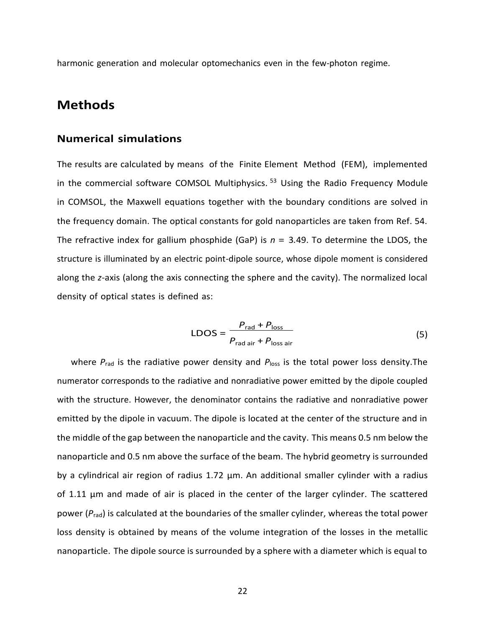harmonic generation and molecular optomechanics even in the few-photon regime.

#### **Methods**

#### **Numerical simulations**

The results are calculated by means of the Finite Element Method (FEM), implemented in the commercial software COMSOL Multiphysics.  $53$  Using the Radio Frequency Module in COMSOL, the Maxwell equations together with the boundary conditions are solved in the frequency domain. The optical constants for gold nanoparticles are taken from Ref. 54. The refractive index for gallium phosphide (GaP) is *n* = 3*.*49. To determine the LDOS, the structure is illuminated by an electric point-dipole source, whose dipole moment is considered along the *z*-axis (along the axis connecting the sphere and the cavity). The normalized local density of optical states is defined as:

$$
LDOS = \frac{P_{\text{rad}} + P_{\text{loss}}}{P_{\text{rad air}} + P_{\text{loss air}}}
$$
(5)

where  $P_{rad}$  is the radiative power density and  $P_{loss}$  is the total power loss density. The numerator corresponds to the radiative and nonradiative power emitted by the dipole coupled with the structure. However, the denominator contains the radiative and nonradiative power emitted by the dipole in vacuum. The dipole is located at the center of the structure and in the middle of the gap between the nanoparticle and the cavity. This means 0.5 nm below the nanoparticle and 0.5 nm above the surface of the beam. The hybrid geometry is surrounded by a cylindrical air region of radius 1.72  $\mu$ m. An additional smaller cylinder with a radius of 1.11 µm and made of air is placed in the center of the larger cylinder. The scattered power ( $P_{rad}$ ) is calculated at the boundaries of the smaller cylinder, whereas the total power loss density is obtained by means of the volume integration of the losses in the metallic nanoparticle. The dipole source is surrounded by a sphere with a diameter which is equal to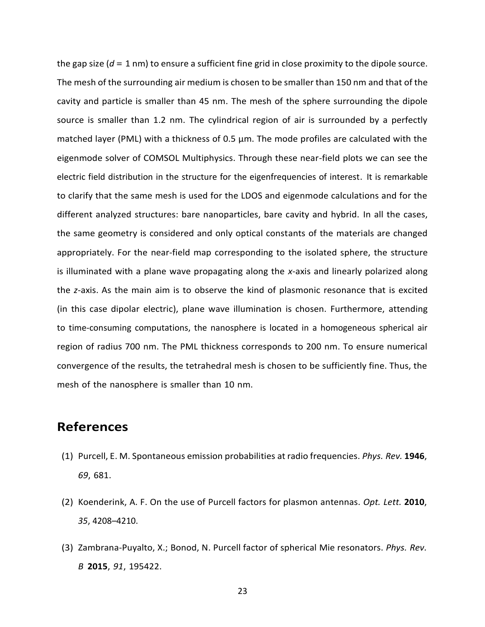the gap size (*d* = 1 nm) to ensure a sufficient fine grid in close proximity to the dipole source. The mesh of the surrounding air medium is chosen to be smaller than 150 nm and that of the cavity and particle is smaller than 45 nm. The mesh of the sphere surrounding the dipole source is smaller than 1.2 nm. The cylindrical region of air is surrounded by a perfectly matched layer (PML) with a thickness of 0.5 µm. The mode profiles are calculated with the eigenmode solver of COMSOL Multiphysics. Through these near-field plots we can see the electric field distribution in the structure for the eigenfrequencies of interest. It is remarkable to clarify that the same mesh is used for the LDOS and eigenmode calculations and for the different analyzed structures: bare nanoparticles, bare cavity and hybrid. In all the cases, the same geometry is considered and only optical constants of the materials are changed appropriately. For the near-field map corresponding to the isolated sphere, the structure is illuminated with a plane wave propagating along the *x*-axis and linearly polarized along the *z*-axis. As the main aim is to observe the kind of plasmonic resonance that is excited (in this case dipolar electric), plane wave illumination is chosen. Furthermore, attending to time-consuming computations, the nanosphere is located in a homogeneous spherical air region of radius 700 nm. The PML thickness corresponds to 200 nm. To ensure numerical convergence of the results, the tetrahedral mesh is chosen to be sufficiently fine. Thus, the mesh of the nanosphere is smaller than 10 nm.

### **References**

- (1) Purcell, E. M. Spontaneous emission probabilities at radio frequencies. *Phys. Rev.* **1946**, *69*, 681.
- (2) Koenderink, A. F. On the use of Purcell factors for plasmon antennas. *Opt. Lett.* **2010**, *35*, 4208–4210.
- (3) Zambrana-Puyalto, X.; Bonod, N. Purcell factor of spherical Mie resonators. *Phys. Rev. B* **2015**, *91*, 195422.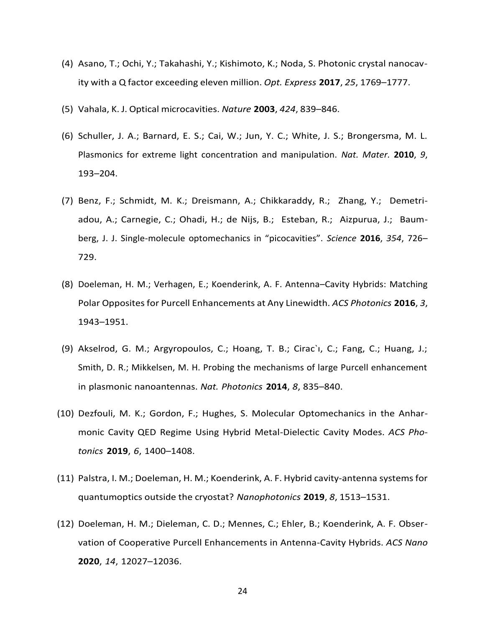- (4) Asano, T.; Ochi, Y.; Takahashi, Y.; Kishimoto, K.; Noda, S. Photonic crystal nanocavity with a Q factor exceeding eleven million. *Opt. Express* **2017**, *25*, 1769–1777.
- (5) Vahala, K. J. Optical microcavities. *Nature* **2003**, *424*, 839–846.
- (6) Schuller, J. A.; Barnard, E. S.; Cai, W.; Jun, Y. C.; White, J. S.; Brongersma, M. L. Plasmonics for extreme light concentration and manipulation. *Nat. Mater.* **2010**, *9*, 193–204.
- (7) Benz, F.; Schmidt, M. K.; Dreismann, A.; Chikkaraddy, R.; Zhang, Y.; Demetriadou, A.; Carnegie, C.; Ohadi, H.; de Nijs, B.; Esteban, R.; Aizpurua, J.; Baumberg, J. J. Single-molecule optomechanics in "picocavities". *Science* **2016**, *354*, 726– 729.
- (8) Doeleman, H. M.; Verhagen, E.; Koenderink, A. F. Antenna–Cavity Hybrids: Matching Polar Opposites for Purcell Enhancements at Any Linewidth. *ACS Photonics* **2016**, *3*, 1943–1951.
- (9) Akselrod, G. M.; Argyropoulos, C.; Hoang, T. B.; Cirac`ı, C.; Fang, C.; Huang, J.; Smith, D. R.; Mikkelsen, M. H. Probing the mechanisms of large Purcell enhancement in plasmonic nanoantennas. *Nat. Photonics* **2014**, *8*, 835–840.
- (10) Dezfouli, M. K.; Gordon, F.; Hughes, S. Molecular Optomechanics in the Anharmonic Cavity QED Regime Using Hybrid Metal-Dielectic Cavity Modes. *ACS Photonics* **2019**, *6*, 1400–1408.
- (11) Palstra, I. M.; Doeleman, H. M.; Koenderink, A. F. Hybrid cavity-antenna systemsfor quantumoptics outside the cryostat? *Nanophotonics* **2019**, *8*, 1513–1531.
- (12) Doeleman, H. M.; Dieleman, C. D.; Mennes, C.; Ehler, B.; Koenderink, A. F. Observation of Cooperative Purcell Enhancements in Antenna-Cavity Hybrids. *ACS Nano* **2020**, *14*, 12027–12036.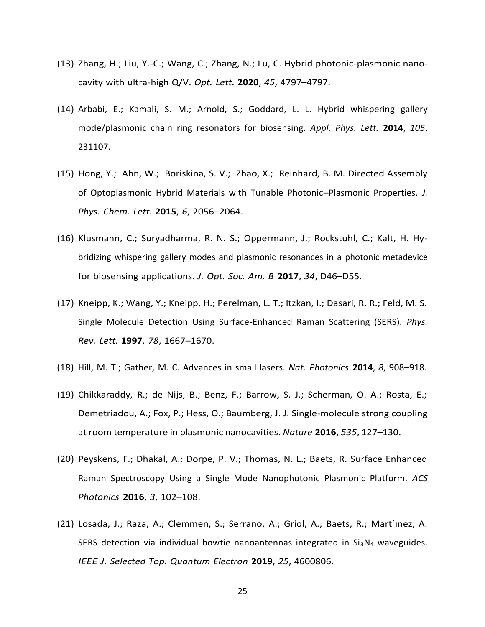- (13) Zhang, H.; Liu, Y.-C.; Wang, C.; Zhang, N.; Lu, C. Hybrid photonic-plasmonic nanocavity with ultra-high Q/V. *Opt. Lett.* **2020**, *45*, 4797–4797.
- (14) Arbabi, E.; Kamali, S. M.; Arnold, S.; Goddard, L. L. Hybrid whispering gallery mode/plasmonic chain ring resonators for biosensing. *Appl. Phys. Lett.* **2014**, *105*, 231107.
- (15) Hong, Y.; Ahn, W.; Boriskina, S. V.; Zhao, X.; Reinhard, B. M. Directed Assembly of Optoplasmonic Hybrid Materials with Tunable Photonic–Plasmonic Properties. *J. Phys. Chem. Lett.* **2015**, *6*, 2056–2064.
- (16) Klusmann, C.; Suryadharma, R. N. S.; Oppermann, J.; Rockstuhl, C.; Kalt, H. Hybridizing whispering gallery modes and plasmonic resonances in a photonic metadevice for biosensing applications. *J. Opt. Soc. Am. B* **2017**, *34*, D46–D55.
- (17) Kneipp, K.; Wang, Y.; Kneipp, H.; Perelman, L. T.; Itzkan, I.; Dasari, R. R.; Feld, M. S. Single Molecule Detection Using Surface-Enhanced Raman Scattering (SERS). *Phys. Rev. Lett.* **1997**, *78*, 1667–1670.
- (18) Hill, M. T.; Gather, M. C. Advances in small lasers. *Nat. Photonics* **2014**, *8*, 908–918.
- (19) Chikkaraddy, R.; de Nijs, B.; Benz, F.; Barrow, S. J.; Scherman, O. A.; Rosta, E.; Demetriadou, A.; Fox, P.; Hess, O.; Baumberg, J. J. Single-molecule strong coupling at room temperature in plasmonic nanocavities. *Nature* **2016**, *535*, 127–130.
- (20) Peyskens, F.; Dhakal, A.; Dorpe, P. V.; Thomas, N. L.; Baets, R. Surface Enhanced Raman Spectroscopy Using a Single Mode Nanophotonic Plasmonic Platform. *ACS Photonics* **2016**, *3*, 102–108.
- (21) Losada, J.; Raza, A.; Clemmen, S.; Serrano, A.; Griol, A.; Baets, R.; Mart´ınez, A. SERS detection via individual bowtie nanoantennas integrated in  $Si<sub>3</sub>N<sub>4</sub>$  waveguides. *IEEE J. Selected Top. Quantum Electron* **2019**, *25*, 4600806.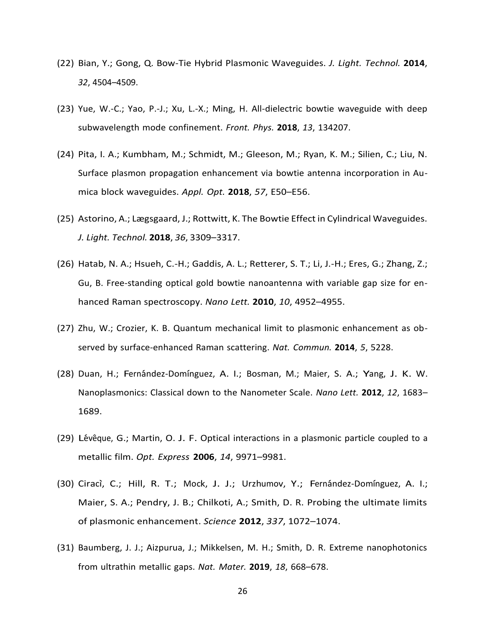- (22) Bian, Y.; Gong, Q. Bow-Tie Hybrid Plasmonic Waveguides. *J. Light. Technol.* **2014**, *32*, 4504–4509.
- (23) Yue, W.-C.; Yao, P.-J.; Xu, L.-X.; Ming, H. All-dielectric bowtie waveguide with deep subwavelength mode confinement. *Front. Phys.* **2018**, *13*, 134207.
- (24) Pita, I. A.; Kumbham, M.; Schmidt, M.; Gleeson, M.; Ryan, K. M.; Silien, C.; Liu, N. Surface plasmon propagation enhancement via bowtie antenna incorporation in Aumica block waveguides. *Appl. Opt.* **2018**, *57*, E50–E56.
- (25) Astorino, A.; Lægsgaard, J.; Rottwitt, K. The Bowtie Effect in Cylindrical Waveguides. *J. Light. Technol.* **2018**, *36*, 3309–3317.
- (26) Hatab, N. A.; Hsueh, C.-H.; Gaddis, A. L.; Retterer, S. T.; Li, J.-H.; Eres, G.; Zhang, Z.; Gu, B. Free-standing optical gold bowtie nanoantenna with variable gap size for enhanced Raman spectroscopy. *Nano Lett.* **2010**, *10*, 4952–4955.
- (27) Zhu, W.; Crozier, K. B. Quantum mechanical limit to plasmonic enhancement as observed by surface-enhanced Raman scattering. *Nat. Commun.* **2014**, *5*, 5228.
- (28) Duan, H.; Fernández-Domínguez, A. I.; Bosman, M.; Maier, S. A.; Yang, J. K. W. Nanoplasmonics: Classical down to the Nanometer Scale. *Nano Lett.* **2012**, *12*, 1683– 1689.
- $(29)$  Lévêque, G.; Martin, O. J. F. Optical interactions in a plasmonic particle coupled to a metallic film. *Opt. Express* **2006**, *14*, 9971–9981.
- (30) Ciracì, C.; Hill, R. T.; Mock, J. J.; Urzhumov, Y.; Fernández-Domínguez, A. I.; Maier, S. A.; Pendry, J. B.; Chilkoti, A.; Smith, D. R. Probing the ultimate limits of plasmonic enhancement. *Science* **2012**, *337*, 1072–1074.
- (31) Baumberg, J. J.; Aizpurua, J.; Mikkelsen, M. H.; Smith, D. R. Extreme nanophotonics from ultrathin metallic gaps. *Nat. Mater.* **2019**, *18*, 668–678.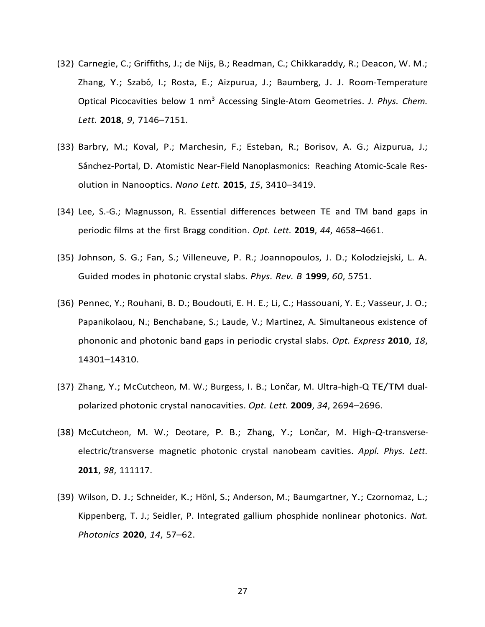- (32) Carnegie, C.; Griffiths, J.; de Nijs, B.; Readman, C.; Chikkaraddy, R.; Deacon, W. M.; Zhang, Y.; Szabó, I.; Rosta, E.; Aizpurua, J.; Baumberg, J. J. Room-Temperature Optical Picocavities below 1 nm<sup>3</sup> Accessing Single-Atom Geometries. *J. Phys. Chem. Lett.* **2018**, *9*, 7146–7151.
- (33) Barbry, M.; Koval, P.; Marchesin, F.; Esteban, R.; Borisov, A. G.; Aizpurua, J.; Sánchez-Portal, D. Atomistic Near-Field Nanoplasmonics: Reaching Atomic-Scale Resolution in Nanooptics. *Nano Lett.* **2015**, *15*, 3410–3419.
- (34) Lee, S.-G.; Magnusson, R. Essential differences between TE and TM band gaps in periodic films at the first Bragg condition. *Opt. Lett.* **2019**, *44*, 4658–4661.
- (35) Johnson, S. G.; Fan, S.; Villeneuve, P. R.; Joannopoulos, J. D.; Kolodziejski, L. A. Guided modes in photonic crystal slabs. *Phys. Rev. B* **1999**, *60*, 5751.
- (36) Pennec, Y.; Rouhani, B. D.; Boudouti, E. H. E.; Li, C.; Hassouani, Y. E.; Vasseur, J. O.; Papanikolaou, N.; Benchabane, S.; Laude, V.; Martinez, A. Simultaneous existence of phononic and photonic band gaps in periodic crystal slabs. *Opt. Express* **2010**, *18*, 14301–14310.
- (37) Zhang, Y.; McCutcheon, M. W.; Burgess, I. B.; Lončar, M. Ultra-high-Q TE/TM dualpolarized photonic crystal nanocavities. *Opt. Lett.* **2009**, *34*, 2694–2696.
- (38) McCutcheon, M. W.; Deotare, P. B.; Zhang, Y.; Lonˇcar, M. High-*Q*-transverseelectric/transverse magnetic photonic crystal nanobeam cavities. *Appl. Phys. Lett.* **2011**, *98*, 111117.
- (39) Wilson, D. J.; Schneider, K.; Hönl, S.; Anderson, M.; Baumgartner, Y.; Czornomaz, L.; Kippenberg, T. J.; Seidler, P. Integrated gallium phosphide nonlinear photonics. *Nat. Photonics* **2020**, *14*, 57–62.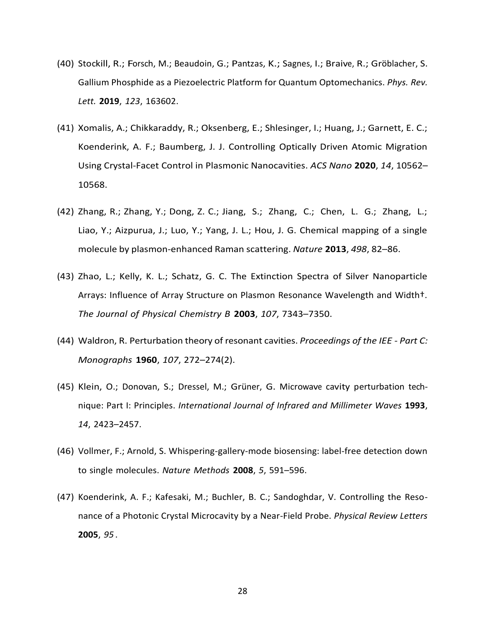- (40) Stockill, R.; Forsch, M.; Beaudoin, G.; Pantzas, K.; Sagnes, I.; Braive, R.; Gröblacher, S. Gallium Phosphide as a Piezoelectric Platform for Quantum Optomechanics. *Phys. Rev. Lett.* **2019**, *123*, 163602.
- (41) Xomalis, A.; Chikkaraddy, R.; Oksenberg, E.; Shlesinger, I.; Huang, J.; Garnett, E. C.; Koenderink, A. F.; Baumberg, J. J. Controlling Optically Driven Atomic Migration Using Crystal-Facet Control in Plasmonic Nanocavities. *ACS Nano* **2020**, *14*, 10562– 10568.
- (42) Zhang, R.; Zhang, Y.; Dong, Z. C.; Jiang, S.; Zhang, C.; Chen, L. G.; Zhang, L.; Liao, Y.; Aizpurua, J.; Luo, Y.; Yang, J. L.; Hou, J. G. Chemical mapping of a single molecule by plasmon-enhanced Raman scattering. *Nature* **2013**, *498*, 82–86.
- (43) Zhao, L.; Kelly, K. L.; Schatz, G. C. The Extinction Spectra of Silver Nanoparticle Arrays: Influence of Array Structure on Plasmon Resonance Wavelength and Width†. *The Journal of Physical Chemistry B* **2003**, *107*, 7343–7350.
- (44) Waldron, R. Perturbation theory of resonant cavities. *Proceedings of the IEE - Part C: Monographs* **1960**, *107*, 272–274(2).
- (45) Klein, O.; Donovan, S.; Dressel, M.; Grüner, G. Microwave cavity perturbation technique: Part I: Principles. *International Journal of Infrared and Millimeter Waves* **1993**, *14*, 2423–2457.
- (46) Vollmer, F.; Arnold, S. Whispering-gallery-mode biosensing: label-free detection down to single molecules. *Nature Methods* **2008**, *5*, 591–596.
- (47) Koenderink, A. F.; Kafesaki, M.; Buchler, B. C.; Sandoghdar, V. Controlling the Resonance of a Photonic Crystal Microcavity by a Near-Field Probe. *Physical Review Letters* **2005**, *95* .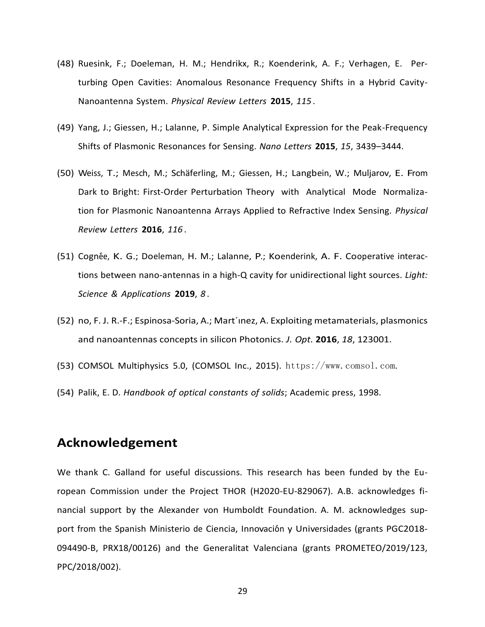- (48) Ruesink, F.; Doeleman, H. M.; Hendrikx, R.; Koenderink, A. F.; Verhagen, E. Perturbing Open Cavities: Anomalous Resonance Frequency Shifts in a Hybrid Cavity-Nanoantenna System. *Physical Review Letters* **2015**, *115* .
- (49) Yang, J.; Giessen, H.; Lalanne, P. Simple Analytical Expression for the Peak-Frequency Shifts of Plasmonic Resonances for Sensing. *Nano Letters* **2015**, *15*, 3439–3444.
- (50) Weiss, T.; Mesch, M.; Schäferling, M.; Giessen, H.; Langbein, W.; Muljarov, E. From Dark to Bright: First-Order Perturbation Theory with Analytical Mode Normalization for Plasmonic Nanoantenna Arrays Applied to Refractive Index Sensing. *Physical Review Letters* **2016**, *116* .
- (51) Cogn´ee, K. G.; Doeleman, H. M.; Lalanne, P.; Koenderink, A. F. Cooperative interactions between nano-antennas in a high-Q cavity for unidirectional light sources. *Light: Science & Applications* **2019**, *8* .
- (52) no, F. J. R.-F.; Espinosa-Soria, A.; Mart´ınez, A. Exploiting metamaterials, plasmonics and nanoantennas concepts in silicon Photonics. *J. Opt.* **2016**, *18*, 123001.
- (53) COMSOL Multiphysics 5.0, (COMSOL Inc., 2015). [https://www.comsol.com](http://www.comsol.com/).
- (54) Palik, E. D. *Handbook of optical constants of solids*; Academic press, 1998.

#### **Acknowledgement**

We thank C. Galland for useful discussions. This research has been funded by the European Commission under the Project THOR (H2020-EU-829067). A.B. acknowledges financial support by the Alexander von Humboldt Foundation. A. M. acknowledges support from the Spanish Ministerio de Ciencia, Innovación y Universidades (grants PGC2018-094490-B, PRX18/00126) and the Generalitat Valenciana (grants PROMETEO/2019/123, PPC/2018/002).